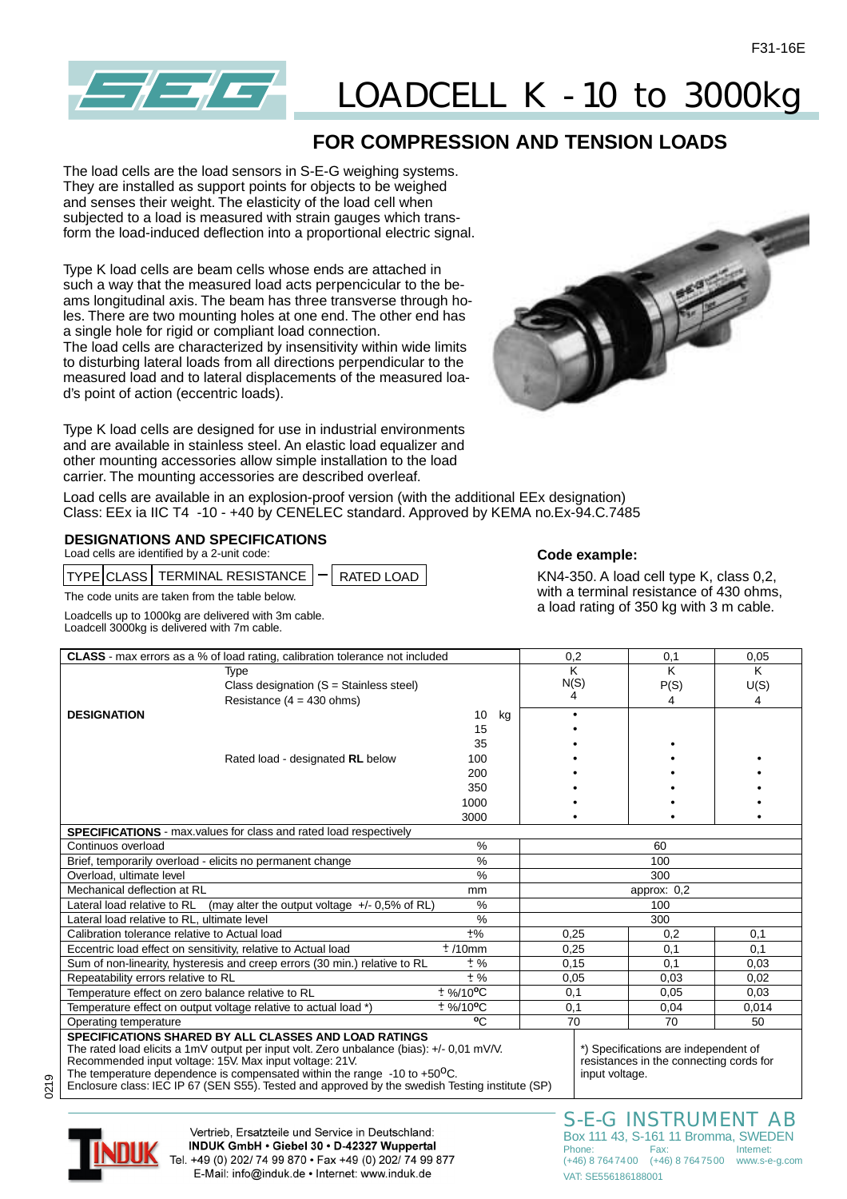

# LOADCELL K - 10 to 3000kg

### **FOR COMPRESSION AND TENSION LOADS**

The load cells are the load sensors in S-E-G weighing systems. They are installed as support points for objects to be weighed and senses their weight. The elasticity of the load cell when subjected to a load is measured with strain gauges which transform the load-induced deflection into a proportional electric signal.

Type K load cells are beam cells whose ends are attached in such a way that the measured load acts perpencicular to the beams longitudinal axis. The beam has three transverse through holes. There are two mounting holes at one end. The other end has a single hole for rigid or compliant load connection. The load cells are characterized by insensitivity within wide limits to disturbing lateral loads from all directions perpendicular to the measured load and to lateral displacements of the measured load's point of action (eccentric loads).

Type K load cells are designed for use in industrial environments and are available in stainless steel. An elastic load equalizer and other mounting accessories allow simple installation to the load carrier. The mounting accessories are described overleaf.



Load cells are available in an explosion-proof version (with the additional EEx designation) Class: EEx ia IIC T4 -10 - +40 by CENELEC standard. Approved by KEMA no.Ex-94.C.7485

#### **DESIGNATIONS AND SPECIFICATIONS**

Load cells are identified by a 2-unit code:

 $TYPE$ CLASS TERMINAL RESISTANCE  $|-$  RATED LOAD

The code units are taken from the table below.

Loadcells up to 1000kg are delivered with 3m cable. Loadcell 3000kg is delivered with 7m cable.

#### **Code example:**

KN4-350. A load cell type K, class 0,2, with a terminal resistance of 430 ohms, a load rating of 350 kg with 3 m cable.

| <b>CLASS</b> - max errors as a % of load rating, calibration tolerance not included                                                                                                                                                                                                                                                                                                                      |                         | 0,2 | 0,1            | 0,05                                                                            |       |  |  |
|----------------------------------------------------------------------------------------------------------------------------------------------------------------------------------------------------------------------------------------------------------------------------------------------------------------------------------------------------------------------------------------------------------|-------------------------|-----|----------------|---------------------------------------------------------------------------------|-------|--|--|
| Type                                                                                                                                                                                                                                                                                                                                                                                                     |                         |     | ĸ              | K                                                                               | K     |  |  |
| Class designation $(S = Stainless steel)$                                                                                                                                                                                                                                                                                                                                                                |                         |     | N(S)           | P(S)                                                                            | U(S)  |  |  |
| Resistance ( $4 = 430$ ohms)                                                                                                                                                                                                                                                                                                                                                                             |                         |     | 4              | 4                                                                               | 4     |  |  |
| <b>DESIGNATION</b>                                                                                                                                                                                                                                                                                                                                                                                       | 10                      | kg  |                |                                                                                 |       |  |  |
|                                                                                                                                                                                                                                                                                                                                                                                                          | 15                      |     |                |                                                                                 |       |  |  |
|                                                                                                                                                                                                                                                                                                                                                                                                          | 35                      |     |                |                                                                                 |       |  |  |
| Rated load - designated RL below                                                                                                                                                                                                                                                                                                                                                                         | 100                     |     |                |                                                                                 |       |  |  |
|                                                                                                                                                                                                                                                                                                                                                                                                          | 200                     |     |                |                                                                                 |       |  |  |
|                                                                                                                                                                                                                                                                                                                                                                                                          | 350                     |     |                |                                                                                 |       |  |  |
|                                                                                                                                                                                                                                                                                                                                                                                                          | 1000                    |     |                |                                                                                 |       |  |  |
|                                                                                                                                                                                                                                                                                                                                                                                                          | 3000                    |     |                |                                                                                 |       |  |  |
| <b>SPECIFICATIONS</b> - max.values for class and rated load respectively                                                                                                                                                                                                                                                                                                                                 |                         |     |                |                                                                                 |       |  |  |
| Continuos overload                                                                                                                                                                                                                                                                                                                                                                                       | %                       |     |                | 60                                                                              |       |  |  |
| Brief, temporarily overload - elicits no permanent change                                                                                                                                                                                                                                                                                                                                                | $\%$                    | 100 |                |                                                                                 |       |  |  |
| Overload, ultimate level                                                                                                                                                                                                                                                                                                                                                                                 | $\frac{0}{0}$           |     | 300            |                                                                                 |       |  |  |
| Mechanical deflection at RL                                                                                                                                                                                                                                                                                                                                                                              | mm                      |     |                | approx: $0,2$                                                                   |       |  |  |
| Lateral load relative to RL<br>(may alter the output voltage $+/- 0.5\%$ of RL)                                                                                                                                                                                                                                                                                                                          | $\%$                    |     | 100            |                                                                                 |       |  |  |
| Lateral load relative to RL, ultimate level                                                                                                                                                                                                                                                                                                                                                              | %                       |     | 300            |                                                                                 |       |  |  |
| Calibration tolerance relative to Actual load                                                                                                                                                                                                                                                                                                                                                            | $+$ %                   |     | 0,25           | 0,2                                                                             | 0,1   |  |  |
| Eccentric load effect on sensitivity, relative to Actual load                                                                                                                                                                                                                                                                                                                                            | ±/10mm                  |     | 0,25           | 0,1                                                                             | 0.1   |  |  |
| Sum of non-linearity, hysteresis and creep errors (30 min.) relative to RL                                                                                                                                                                                                                                                                                                                               | ± %                     |     | 0,15           | 0,1                                                                             | 0,03  |  |  |
| Repeatability errors relative to RL                                                                                                                                                                                                                                                                                                                                                                      | $±$ %                   |     | 0,05           | 0,03                                                                            | 0,02  |  |  |
| Temperature effect on zero balance relative to RL                                                                                                                                                                                                                                                                                                                                                        | $±$ %/10 <sup>o</sup> C |     | 0,1            | 0,05                                                                            | 0.03  |  |  |
| Temperature effect on output voltage relative to actual load *)                                                                                                                                                                                                                                                                                                                                          | $±$ %/10°C              |     | 0.1            | 0,04                                                                            | 0.014 |  |  |
| Operating temperature                                                                                                                                                                                                                                                                                                                                                                                    | °C                      |     | 70             | 70                                                                              | 50    |  |  |
| SPECIFICATIONS SHARED BY ALL CLASSES AND LOAD RATINGS<br>The rated load elicits a 1mV output per input volt. Zero unbalance (bias): +/- 0,01 mV/V.<br>Recommended input voltage: 15V. Max input voltage: 21V.<br>The temperature dependence is compensated within the range $-10$ to $+50^{\circ}$ C.<br>Enclosure class: IEC IP 67 (SEN S55). Tested and approved by the swedish Testing institute (SP) |                         |     | input voltage. | *) Specifications are independent of<br>resistances in the connecting cords for |       |  |  |
|                                                                                                                                                                                                                                                                                                                                                                                                          |                         |     |                |                                                                                 |       |  |  |

0219



Vertrieb. Ersatzteile und Service in Deutschland: INDUK GmbH · Giebel 30 · D-42327 Wuppertal Tel. +49 (0) 202/ 74 99 870 · Fax +49 (0) 202/ 74 99 877 E-Mail: info@induk.de · Internet: www.induk.de

S-E-G INSTRUMENT AB Box 111 43, S-161 11 Bromma, SWEDEN Phone: Fax: Internet: (+46) 8 7647400 (+46) 8 7647500 www.s-e-g.com VAT: SE556186188001